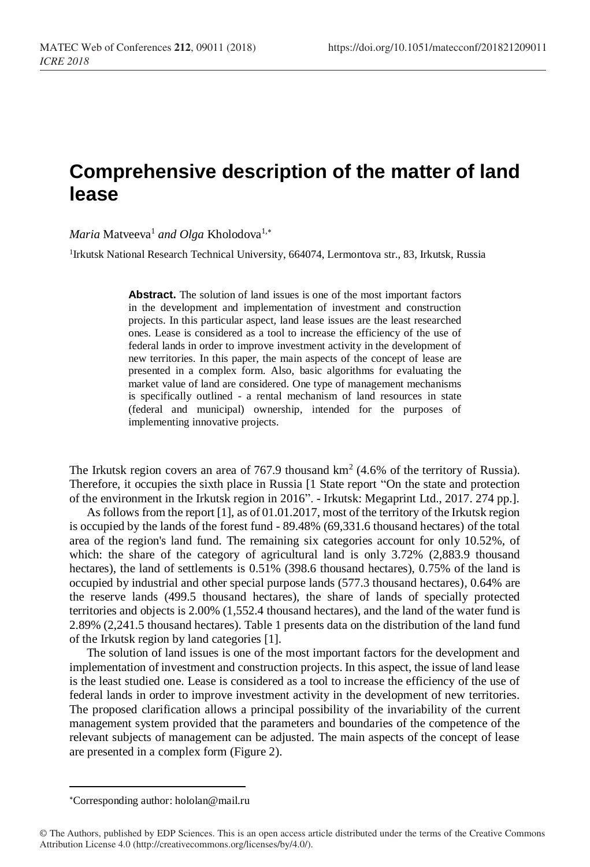## **Comprehensive description of the matter of land lease**

*Maria* Matveeva<sup>1</sup> and Olga Kholodova<sup>1,\*</sup>

<sup>1</sup>Irkutsk National Research Technical University, 664074, Lermontova str., 83, Irkutsk, Russia

**Abstract.** The solution of land issues is one of the most important factors in the development and implementation of investment and construction projects. In this particular aspect, land lease issues are the least researched ones. Lease is considered as a tool to increase the efficiency of the use of federal lands in order to improve investment activity in the development of new territories. In this paper, the main aspects of the concept of lease are presented in a complex form. Also, basic algorithms for evaluating the market value of land are considered. One type of management mechanisms is specifically outlined - a rental mechanism of land resources in state (federal and municipal) ownership, intended for the purposes of implementing innovative projects.

The Irkutsk region covers an area of 767.9 thousand  $km^2$  (4.6% of the territory of Russia). Therefore, it occupies the sixth place in Russia [1 State report "On the state and protection of the environment in the Irkutsk region in 2016". - Irkutsk: Megaprint Ltd., 2017. 274 pp.].

As follows from the report [1], as of 01.01.2017, most of the territory of the Irkutsk region is occupied by the lands of the forest fund - 89.48% (69,331.6 thousand hectares) of the total area of the region's land fund. The remaining six categories account for only 10.52%, of which: the share of the category of agricultural land is only 3.72% (2,883.9 thousand hectares), the land of settlements is 0.51% (398.6 thousand hectares), 0.75% of the land is occupied by industrial and other special purpose lands (577.3 thousand hectares), 0.64% are the reserve lands (499.5 thousand hectares), the share of lands of specially protected territories and objects is 2.00% (1,552.4 thousand hectares), and the land of the water fund is 2.89% (2,241.5 thousand hectares). Table 1 presents data on the distribution of the land fund of the Irkutsk region by land categories [1].

The solution of land issues is one of the most important factors for the development and implementation of investment and construction projects. In this aspect, the issue of land lease is the least studied one. Lease is considered as a tool to increase the efficiency of the use of federal lands in order to improve investment activity in the development of new territories. The proposed clarification allows a principal possibility of the invariability of the current management system provided that the parameters and boundaries of the competence of the relevant subjects of management can be adjusted. The main aspects of the concept of lease are presented in a complex form (Figure 2).

l

Corresponding author[: hololan@mail.ru](mailto:hololan@mail.ru)

<sup>©</sup> The Authors, published by EDP Sciences. This is an open access article distributed under the terms of the Creative Commons Attribution License 4.0 (http://creativecommons.org/licenses/by/4.0/).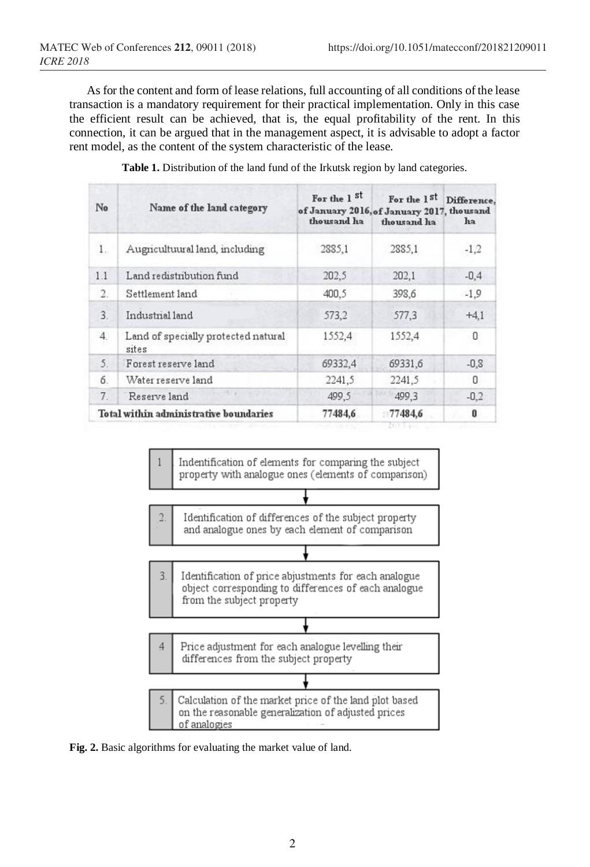As for the content and form of lease relations, full accounting of all conditions of the lease transaction is a mandatory requirement for their practical implementation. Only in this case the efficient result can be achieved, that is, the equal profitability of the rent. In this connection, it can be argued that in the management aspect, it is advisable to adopt a factor rent model, as the content of the system characteristic of the lease.

| No                                     | Name of the land category                    | For the 1 <sup>st</sup><br>of January 2016, of January 2017, thousand<br>thousand ha | For the 1st<br>thousand ha | Difference.<br>ha |
|----------------------------------------|----------------------------------------------|--------------------------------------------------------------------------------------|----------------------------|-------------------|
| $1$ .                                  | Augricultuural land, including               | 2885,1                                                                               | 2885.1                     | $-1,2$            |
| 1.1                                    | Land redistribution fund                     | 202,5                                                                                | 202,1                      | $-0,4$            |
| 2.                                     | Settlement land                              | 400.5                                                                                | 398.6                      | $-1,9$            |
| 3.                                     | Industrial land                              | 573,2                                                                                | 577.3                      | $+4.1$            |
| 4.                                     | Land of specially protected natural<br>sites | 1552,4                                                                               | 1552,4                     | 0                 |
| 5.                                     | Forest reserve land                          | 69332,4                                                                              | 69331,6                    | $-0,8$            |
| 6.                                     | Water reserve land                           | 2241,5                                                                               | 2241,5                     | 0                 |
| 7.                                     | Reserve land                                 | 499.5                                                                                | 499.3                      | $-0.2$            |
| Total within administrative boundaries |                                              | 77484,6                                                                              | 77484.6                    | 0                 |

**Table 1.** Distribution of the land fund of the Irkutsk region by land categories.



**Fig. 2.** Basic algorithms for evaluating the market value of land.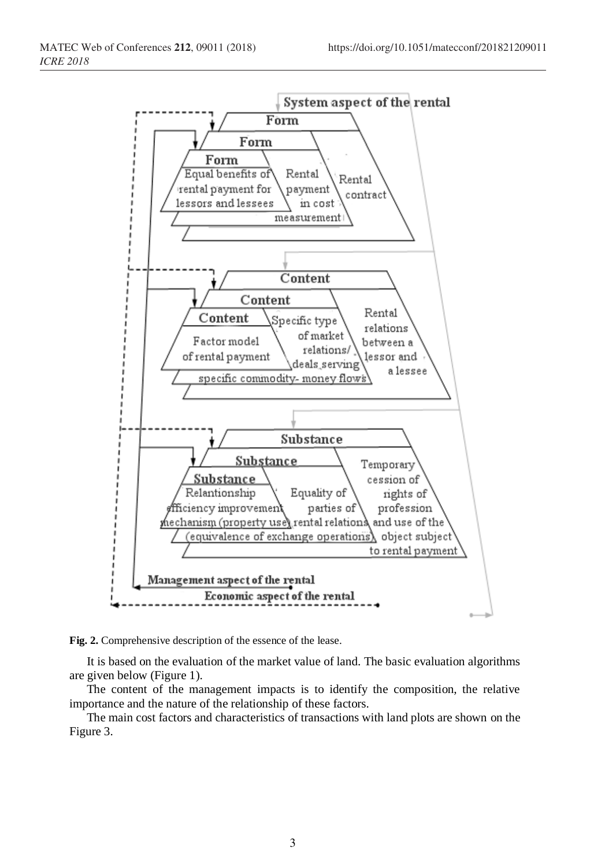

**Fig. 2.** Comprehensive description of the essence of the lease.

It is based on the evaluation of the market value of land. The basic evaluation algorithms are given below (Figure 1).

The content of the management impacts is to identify the composition, the relative importance and the nature of the relationship of these factors.

The main cost factors and characteristics of transactions with land plots are shown on the Figure 3.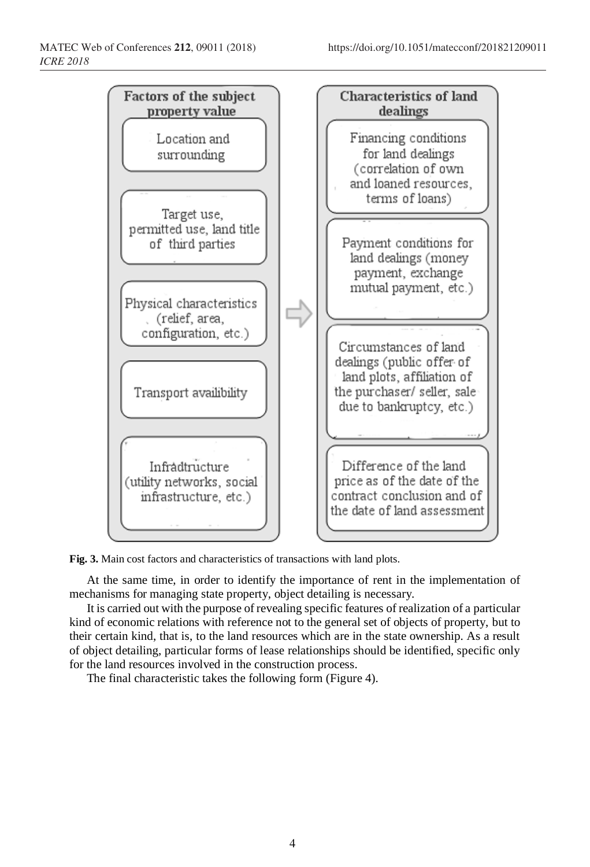

**Fig. 3.** Main cost factors and characteristics of transactions with land plots.

At the same time, in order to identify the importance of rent in the implementation of mechanisms for managing state property, object detailing is necessary.

It is carried out with the purpose of revealing specific features of realization of a particular kind of economic relations with reference not to the general set of objects of property, but to their certain kind, that is, to the land resources which are in the state ownership. As a result of object detailing, particular forms of lease relationships should be identified, specific only for the land resources involved in the construction process.

The final characteristic takes the following form (Figure 4).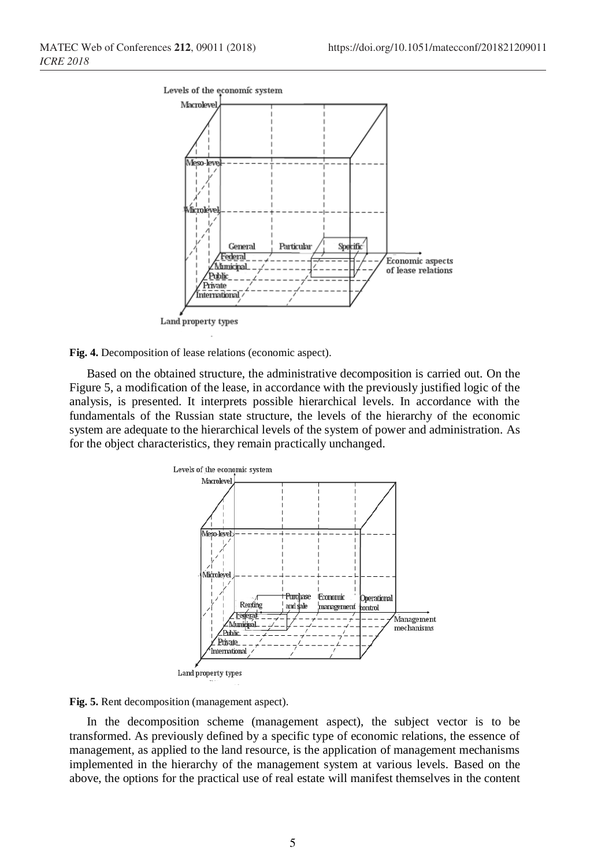



Based on the obtained structure, the administrative decomposition is carried out. On the Figure 5, a modification of the lease, in accordance with the previously justified logic of the analysis, is presented. It interprets possible hierarchical levels. In accordance with the fundamentals of the Russian state structure, the levels of the hierarchy of the economic system are adequate to the hierarchical levels of the system of power and administration. As for the object characteristics, they remain practically unchanged.



**Fig. 5.** Rent decomposition (management aspect).

In the decomposition scheme (management aspect), the subject vector is to be transformed. As previously defined by a specific type of economic relations, the essence of management, as applied to the land resource, is the application of management mechanisms implemented in the hierarchy of the management system at various levels. Based on the above, the options for the practical use of real estate will manifest themselves in the content